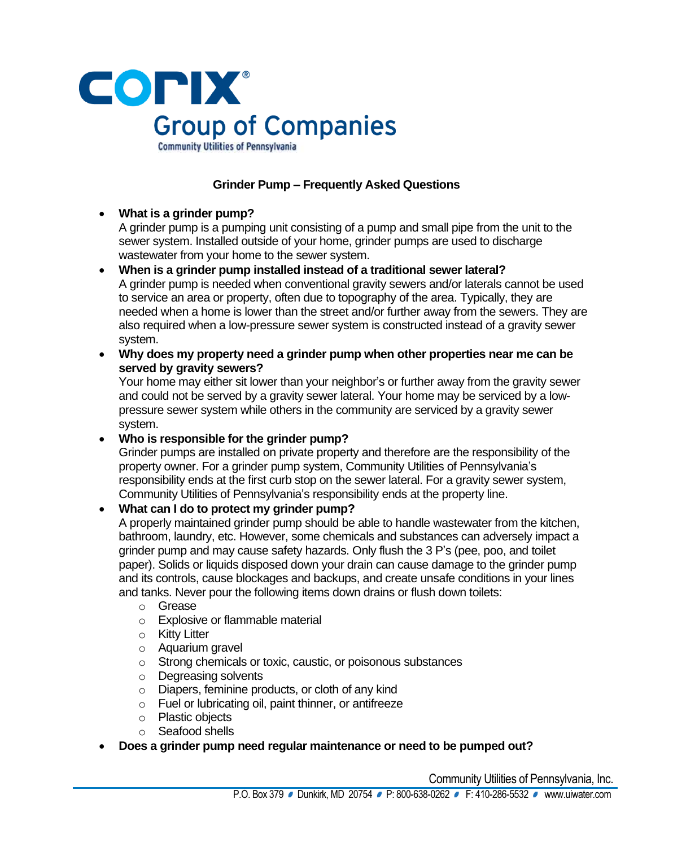

**Grinder Pump – Frequently Asked Questions**

### • **What is a grinder pump?**

A grinder pump is a pumping unit consisting of a pump and small pipe from the unit to the sewer system. Installed outside of your home, grinder pumps are used to discharge wastewater from your home to the sewer system.

- **When is a grinder pump installed instead of a traditional sewer lateral?** A grinder pump is needed when conventional gravity sewers and/or laterals cannot be used to service an area or property, often due to topography of the area. Typically, they are needed when a home is lower than the street and/or further away from the sewers. They are also required when a low-pressure sewer system is constructed instead of a gravity sewer system.
- **Why does my property need a grinder pump when other properties near me can be served by gravity sewers?**

Your home may either sit lower than your neighbor's or further away from the gravity sewer and could not be served by a gravity sewer lateral. Your home may be serviced by a lowpressure sewer system while others in the community are serviced by a gravity sewer system.

• **Who is responsible for the grinder pump?**

Grinder pumps are installed on private property and therefore are the responsibility of the property owner. For a grinder pump system, Community Utilities of Pennsylvania's responsibility ends at the first curb stop on the sewer lateral. For a gravity sewer system, Community Utilities of Pennsylvania's responsibility ends at the property line.

# • **What can I do to protect my grinder pump?**

A properly maintained grinder pump should be able to handle wastewater from the kitchen, bathroom, laundry, etc. However, some chemicals and substances can adversely impact a grinder pump and may cause safety hazards. Only flush the 3 P's (pee, poo, and toilet paper). Solids or liquids disposed down your drain can cause damage to the grinder pump and its controls, cause blockages and backups, and create unsafe conditions in your lines and tanks. Never pour the following items down drains or flush down toilets:

- o Grease
- o Explosive or flammable material
- o Kitty Litter
- o Aquarium gravel
- o Strong chemicals or toxic, caustic, or poisonous substances
- o Degreasing solvents
- o Diapers, feminine products, or cloth of any kind
- o Fuel or lubricating oil, paint thinner, or antifreeze
- o Plastic objects
- o Seafood shells
- **Does a grinder pump need regular maintenance or need to be pumped out?**

Community Utilities of Pennsylvania, Inc.